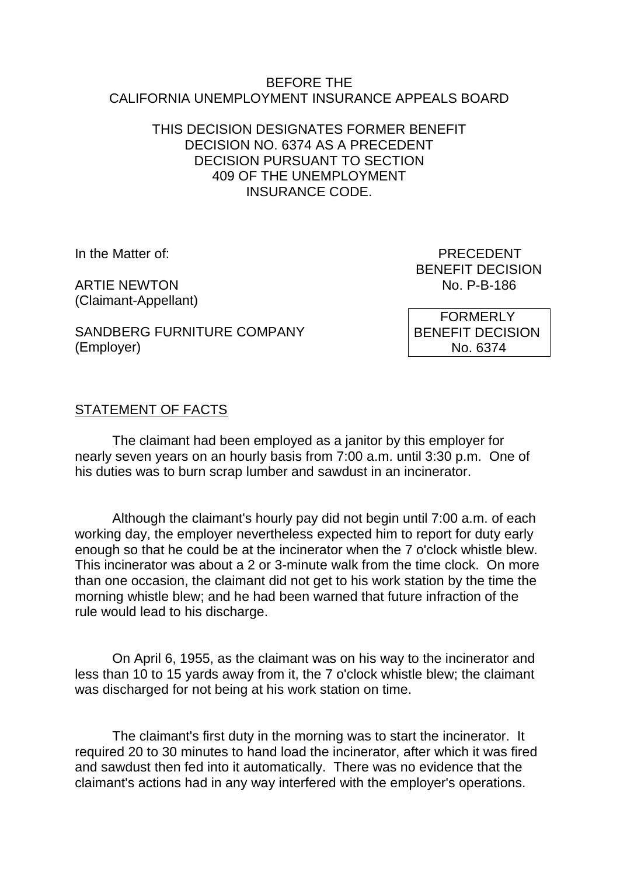#### BEFORE THE CALIFORNIA UNEMPLOYMENT INSURANCE APPEALS BOARD

## THIS DECISION DESIGNATES FORMER BENEFIT DECISION NO. 6374 AS A PRECEDENT DECISION PURSUANT TO SECTION 409 OF THE UNEMPLOYMENT INSURANCE CODE.

**ARTIF NEWTON** (Claimant-Appellant)

In the Matter of: PRECEDENT BENEFIT DECISION<br>No. P-B-186

SANDBERG FURNITURE COMPANY (Employer)

 FORMERLY BENEFIT DECISION No. 6374

# STATEMENT OF FACTS

The claimant had been employed as a janitor by this employer for nearly seven years on an hourly basis from 7:00 a.m. until 3:30 p.m. One of his duties was to burn scrap lumber and sawdust in an incinerator.

Although the claimant's hourly pay did not begin until 7:00 a.m. of each working day, the employer nevertheless expected him to report for duty early enough so that he could be at the incinerator when the 7 o'clock whistle blew. This incinerator was about a 2 or 3-minute walk from the time clock. On more than one occasion, the claimant did not get to his work station by the time the morning whistle blew; and he had been warned that future infraction of the rule would lead to his discharge.

On April 6, 1955, as the claimant was on his way to the incinerator and less than 10 to 15 yards away from it, the 7 o'clock whistle blew; the claimant was discharged for not being at his work station on time.

The claimant's first duty in the morning was to start the incinerator. It required 20 to 30 minutes to hand load the incinerator, after which it was fired and sawdust then fed into it automatically. There was no evidence that the claimant's actions had in any way interfered with the employer's operations.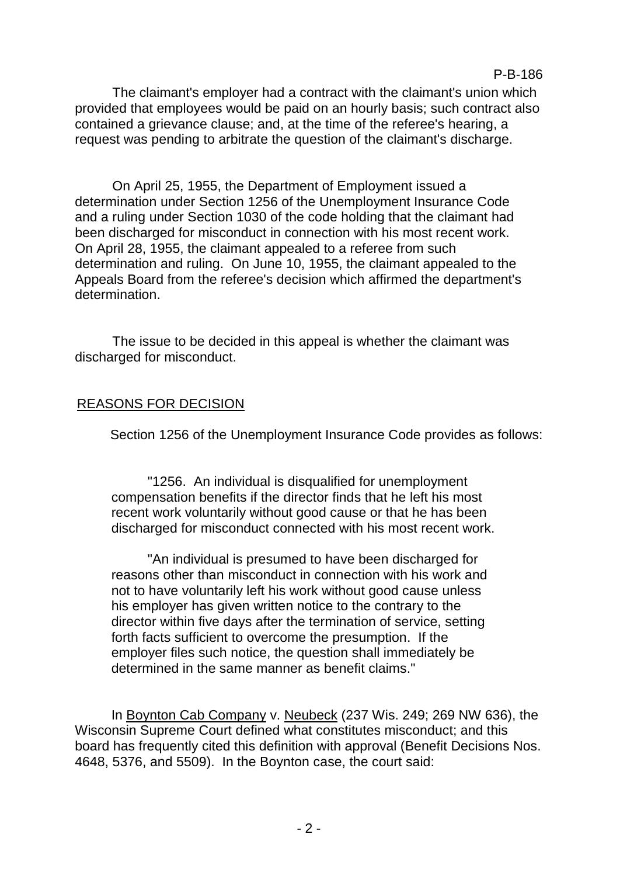The claimant's employer had a contract with the claimant's union which provided that employees would be paid on an hourly basis; such contract also contained a grievance clause; and, at the time of the referee's hearing, a request was pending to arbitrate the question of the claimant's discharge.

On April 25, 1955, the Department of Employment issued a determination under Section 1256 of the Unemployment Insurance Code and a ruling under Section 1030 of the code holding that the claimant had been discharged for misconduct in connection with his most recent work. On April 28, 1955, the claimant appealed to a referee from such determination and ruling. On June 10, 1955, the claimant appealed to the Appeals Board from the referee's decision which affirmed the department's determination.

The issue to be decided in this appeal is whether the claimant was discharged for misconduct.

### REASONS FOR DECISION

Section 1256 of the Unemployment Insurance Code provides as follows:

"1256. An individual is disqualified for unemployment compensation benefits if the director finds that he left his most recent work voluntarily without good cause or that he has been discharged for misconduct connected with his most recent work.

"An individual is presumed to have been discharged for reasons other than misconduct in connection with his work and not to have voluntarily left his work without good cause unless his employer has given written notice to the contrary to the director within five days after the termination of service, setting forth facts sufficient to overcome the presumption. If the employer files such notice, the question shall immediately be determined in the same manner as benefit claims."

In Boynton Cab Company v. Neubeck (237 Wis. 249; 269 NW 636), the Wisconsin Supreme Court defined what constitutes misconduct; and this board has frequently cited this definition with approval (Benefit Decisions Nos. 4648, 5376, and 5509). In the Boynton case, the court said: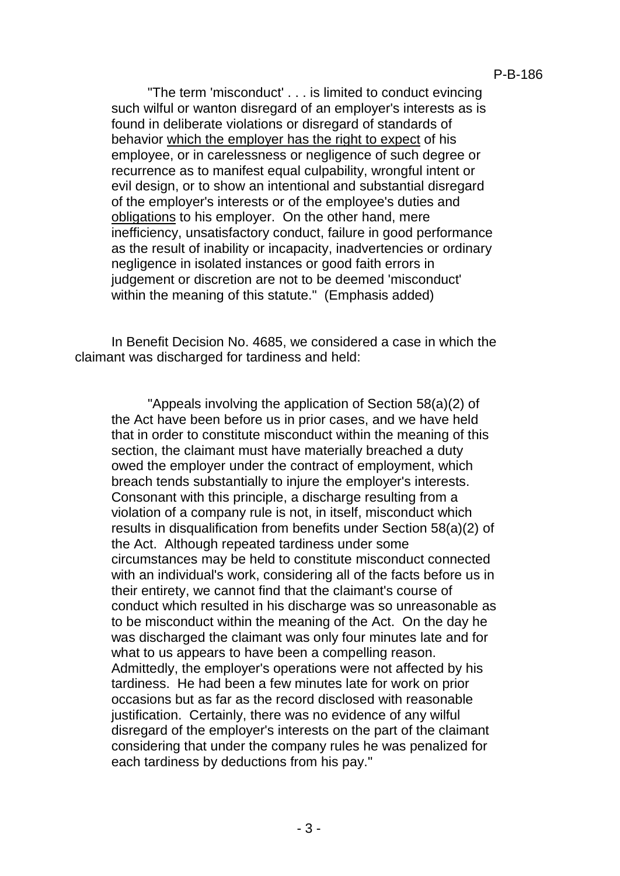"The term 'misconduct' . . . is limited to conduct evincing such wilful or wanton disregard of an employer's interests as is found in deliberate violations or disregard of standards of behavior which the employer has the right to expect of his employee, or in carelessness or negligence of such degree or recurrence as to manifest equal culpability, wrongful intent or evil design, or to show an intentional and substantial disregard of the employer's interests or of the employee's duties and obligations to his employer. On the other hand, mere inefficiency, unsatisfactory conduct, failure in good performance as the result of inability or incapacity, inadvertencies or ordinary negligence in isolated instances or good faith errors in judgement or discretion are not to be deemed 'misconduct' within the meaning of this statute." (Emphasis added)

In Benefit Decision No. 4685, we considered a case in which the claimant was discharged for tardiness and held:

"Appeals involving the application of Section 58(a)(2) of the Act have been before us in prior cases, and we have held that in order to constitute misconduct within the meaning of this section, the claimant must have materially breached a duty owed the employer under the contract of employment, which breach tends substantially to injure the employer's interests. Consonant with this principle, a discharge resulting from a violation of a company rule is not, in itself, misconduct which results in disqualification from benefits under Section 58(a)(2) of the Act. Although repeated tardiness under some circumstances may be held to constitute misconduct connected with an individual's work, considering all of the facts before us in their entirety, we cannot find that the claimant's course of conduct which resulted in his discharge was so unreasonable as to be misconduct within the meaning of the Act. On the day he was discharged the claimant was only four minutes late and for what to us appears to have been a compelling reason. Admittedly, the employer's operations were not affected by his tardiness. He had been a few minutes late for work on prior occasions but as far as the record disclosed with reasonable justification. Certainly, there was no evidence of any wilful disregard of the employer's interests on the part of the claimant considering that under the company rules he was penalized for each tardiness by deductions from his pay."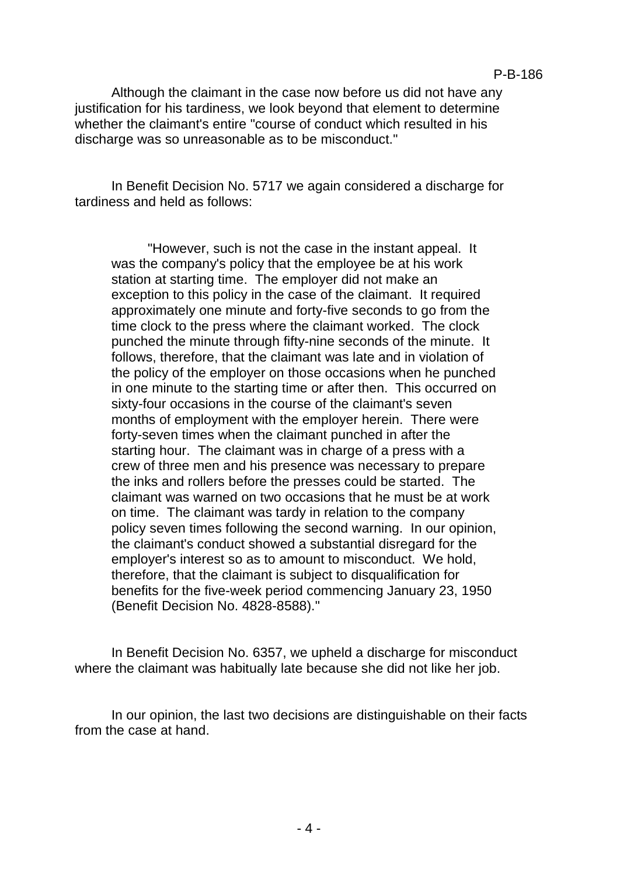Although the claimant in the case now before us did not have any justification for his tardiness, we look beyond that element to determine whether the claimant's entire "course of conduct which resulted in his discharge was so unreasonable as to be misconduct."

In Benefit Decision No. 5717 we again considered a discharge for tardiness and held as follows:

"However, such is not the case in the instant appeal. It was the company's policy that the employee be at his work station at starting time. The employer did not make an exception to this policy in the case of the claimant. It required approximately one minute and forty-five seconds to go from the time clock to the press where the claimant worked. The clock punched the minute through fifty-nine seconds of the minute. It follows, therefore, that the claimant was late and in violation of the policy of the employer on those occasions when he punched in one minute to the starting time or after then. This occurred on sixty-four occasions in the course of the claimant's seven months of employment with the employer herein. There were forty-seven times when the claimant punched in after the starting hour. The claimant was in charge of a press with a crew of three men and his presence was necessary to prepare the inks and rollers before the presses could be started. The claimant was warned on two occasions that he must be at work on time. The claimant was tardy in relation to the company policy seven times following the second warning. In our opinion, the claimant's conduct showed a substantial disregard for the employer's interest so as to amount to misconduct. We hold, therefore, that the claimant is subject to disqualification for benefits for the five-week period commencing January 23, 1950 (Benefit Decision No. 4828-8588)."

In Benefit Decision No. 6357, we upheld a discharge for misconduct where the claimant was habitually late because she did not like her job.

In our opinion, the last two decisions are distinguishable on their facts from the case at hand.